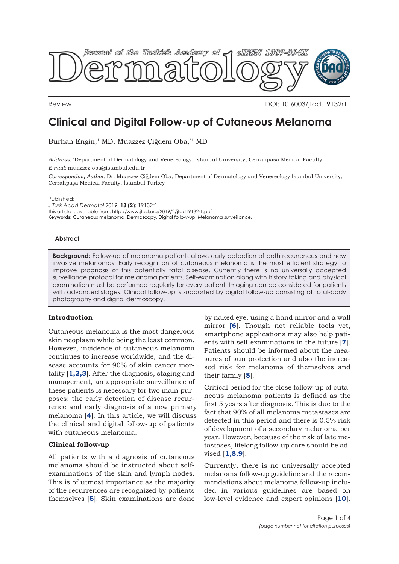

Review DOI: 10.6003/jtad.19132r1

# **Clinical and Digital Follow-up of Cutaneous Melanoma**

Burhan Engin,<sup>1</sup> MD, Muazzez Çiğdem Oba,<sup>\*1</sup> MD

*Address:* \* Department of Dermatology and Venereology. Istanbul University, Cerrahpaşa Medical Faculty *E-mail:* muazzez.oba@istanbul.edu.tr

*Corresponding Author:* Dr. Muazzez Çiğdem Oba, Department of Dermatology and Venereology Istanbul University, Cerrahpaşa Medical Faculty, İstanbul Turkey

Published:

*J Turk Acad Dermatol* 2019; **13 (2)**: 19132r1. This article is available from: http://www.jtad.org/2019/2/jtad19132r1.pdf **Keywords:** Cutaneous melanoma, Dermoscopy, Digital follow-up, Melanoma surveillance.

#### **Abstract**

**Background:** Follow-up of melanoma patients allows early detection of both recurrences and new invasive melanomas. Early recognition of cutaneous melanoma is the most efficient strategy to improve prognosis of this potentially fatal disease. Currently there is no universally accepted surveillance protocol for melanoma patients. Self-examination along with history taking and physical examination must be performed regularly for every patient. Imaging can be considered for patients with advanced stages. Clinical follow-up is supported by digital follow-up consisting of total-body photography and digital dermoscopy.

## **Introduction**

Cutaneous melanoma is the most dangerous skin neoplasm while being the least common. However, incidence of cutaneous melanoma continues to increase worldwide, and the disease accounts for 90% of skin cancer mortality [**[1,2,3](#page-2-0)**]. After the diagnosis, staging and management, an appropriate surveillance of these patients is necessary for two main purposes: the early detection of disease recurrence and early diagnosis of a new primary melanoma [**[4](#page-2-0)**]. In this article, we will discuss the clinical and digital follow-up of patients with cutaneous melanoma.

## **Clinical follow-up**

All patients with a diagnosis of cutaneous melanoma should be instructed about selfexaminations of the skin and lymph nodes. This is of utmost importance as the majority of the recurrences are recognized by patients themselves [**[5](#page-2-0)**]. Skin examinations are done

by naked eye, using a hand mirror and a wall mirror **[[6](#page-2-0)**]. Though not reliable tools yet, smartphone applications may also help patients with self-examinations in the future [**[7](#page-2-0)**]. Patients should be informed about the measures of sun protection and also the increased risk for melanoma of themselves and their family [**[8](#page-2-0)**].

Critical period for the close follow-up of cutaneous melanoma patients is defined as the first 5 years after diagnosis. This is due to the fact that 90% of all melanoma metastases are detected in this period and there is 0.5% risk of development of a secondary melanoma per year. However, because of the risk of late metastases, lifelong follow-up care should be advised [**[1](#page-2-0),[8,9](#page-2-0)**].

Currently, there is no universally accepted melanoma follow-up guideline and the recommendations about melanoma follow-up included in various guidelines are based on low-level evidence and expert opinions [**[10](#page-2-0)**].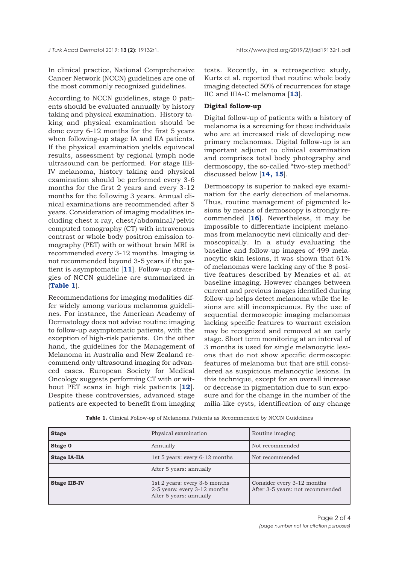In clinical practice, National Comprehensive Cancer Network (NCCN) guidelines are one of the most commonly recognized guidelines.

According to NCCN guidelines, stage 0 patients should be evaluated annually by history taking and physical examination. History taking and physical examination should be done every 6-12 months for the first 5 years when following-up stage IA and IIA patients. If the physical examination yields equivocal results, assessment by regional lymph node ultrasound can be performed. For stage IIB-IV melanoma, history taking and physical examination should be performed every 3-6 months for the first 2 years and every 3-12 months for the following 3 years. Annual clinical examinations are recommended after 5 years. Consideration of imaging modalities including chest x-ray, chest/abdominal/pelvic computed tomography (CT) with intravenous contrast or whole body positron emission tomography (PET) with or without brain MRI is recommended every 3-12 months. Imaging is not recommended beyond 3-5 years if the patient is asymptomatic [**[11](#page-2-0)**]. Follow-up strategies of NCCN guideline are summarized in (**Table 1**).

Recommendations for imaging modalities differ widely among various melanoma guidelines. For instance, the American Academy of Dermatology does not advise routine imaging to follow-up asymptomatic patients, with the exception of high-risk patients. On the other hand, the guidelines for the Management of Melanoma in Australia and New Zealand recommend only ultrasound imaging for advanced cases. European Society for Medical Oncology suggests performing CT with or without PET scans in high risk patients [**[12](#page-2-0)**]. Despite these controversies, advanced stage patients are expected to benefit from imaging

tests. Recently, in a retrospective study, Kurtz et al. reported that routine whole body imaging detected 50% of recurrences for stage IIC and IIIA-C melanoma [**[13](#page-2-0)**].

## **Digital follow-up**

Digital follow-up of patients with a history of melanoma is a screening for these individuals who are at increased risk of developing new primary melanomas. Digital follow-up is an important adjunct to clinical examination and comprises total body photography and dermoscopy, the so-called "two-step method" discussed below [**[14, 15](#page-2-0)**].

Dermoscopy is superior to naked eye examination for the early detection of melanoma. Thus, routine management of pigmented lesions by means of dermoscopy is strongly recommended [**[16](#page-3-0)**]. Nevertheless, it may be impossible to differentiate incipient melanomas from melanocytic nevi clinically and dermoscopically. In a study evaluating the baseline and follow-up images of 499 melanocytic skin lesions, it was shown that 61% of melanomas were lacking any of the 8 positive features described by Menzies et al. at baseline imaging. However changes between current and previous images identified during follow-up helps detect melanoma while the lesions are still inconspicuous. By the use of sequential dermoscopic imaging melanomas lacking specific features to warrant excision may be recognized and removed at an early stage. Short term monitoring at an interval of 3 months is used for single melanocytic lesions that do not show specific dermoscopic features of melanoma but that are still considered as suspicious melanocytic lesions. In this technique, except for an overall increase or decrease in pigmentation due to sun exposure and for the change in the number of the milia-like cysts, identification of any change

| <b>Stage</b>        | Physical examination                                                                     | Routine imaging                                                |
|---------------------|------------------------------------------------------------------------------------------|----------------------------------------------------------------|
| Stage 0             | Annually                                                                                 | Not recommended                                                |
| <b>Stage IA-IIA</b> | 1st 5 years: every 6-12 months                                                           | Not recommended                                                |
|                     | After 5 years: annually                                                                  |                                                                |
| <b>Stage IIB-IV</b> | 1st 2 years: every 3-6 months<br>2-5 years: every 3-12 months<br>After 5 years: annually | Consider every 3-12 months<br>After 3-5 years: not recommended |

**Table 1.** Clinical Follow-op of Melanoma Patients as Recommended by NCCN Guidelines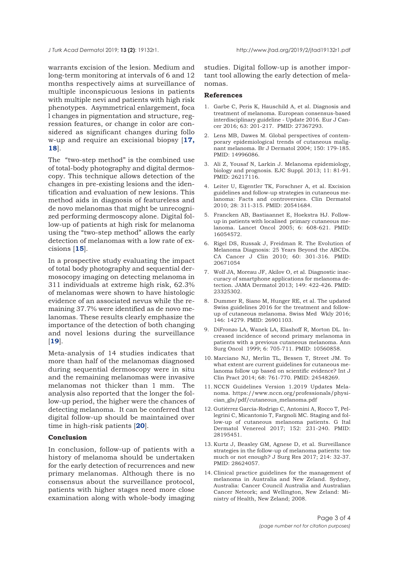<span id="page-2-0"></span>

warrants excision of the lesion. Medium and long-term monitoring at intervals of 6 and 12 months respectively aims at surveillance of multiple inconspicuous lesions in patients with multiple nevi and patients with high risk phenotypes. Asymmetrical enlargement, foca l changes in pigmentation and structure, regression features, or change in color are considered as significant changes during follo [w-up and require an excisional biopsy \[](#page-3-0)**17, 18**].

The "two-step method" is the combined use of total-body photography and digital dermoscopy. This technique allows detection of the changes in pre-existing lesions and the identification and evaluation of new lesions. This method aids in diagnosis of featureless and de novo melanomas that might be unrecognized performing dermoscopy alone. Digital follow-up of patients at high risk for melanoma using the "two-step method" allows the early detection of melanomas with a low rate of excisions [**[15](#page-3-0)**].

In a prospective study evaluating the impact of total body photography and sequential dermosocopy imaging on detecting melanoma in 311 individuals at extreme high risk, 62.3% of melanomas were shown to have histologic evidence of an associated nevus while the remaining 37.7% were identified as de novo melanomas. These results clearly emphasize the importance of the detection of both changing and novel lesions during the surveillance [**[19](#page-3-0)**].

Meta-analysis of 14 studies indicates that more than half of the melanomas diagnosed during sequential dermoscopy were in situ and the remaining melanomas were invasive melanomas not thicker than 1 mm. The analysis also reported that the longer the follow-up period, the higher were the chances of detecting melanoma. It can be conferred that digital follow-up should be maintained over time in high-risk patients [**[20](#page-3-0)**].

#### **Conclusion**

In conclusion, follow-up of patients with a history of melanoma should be undertaken for the early detection of recurrences and new primary melanomas. Although there is no consensus about the surveillance protocol, patients with higher stages need more close examination along with whole-body imaging

studies. Digital follow-up is another important tool allowing the early detection of melanomas.

#### **References**

- 1. Garbe C, Peris K, Hauschild A, et al. Diagnosis and treatment of melanoma. European consensus-based interdisciplinary guideline - Update 2016. Eur J Cancer 2016; 63: 201-217. PMID: 27367293.
- 2. Lens MB, Dawes M. Global perspectives of contemporary epidemiological trends of cutaneous malignant melanoma. Br J Dermatol 2004; 150: 179-185. PMID: 14996086.
- 3. Ali Z, Yousaf N, Larkin J. Melanoma epidemiology, biology and prognosis. EJC Suppl. 2013; 11: 81-91. PMID: 26217116.
- 4. Leiter U, Eigentler TK, Forschner A, et al. Excision guidelines and follow-up strategies in cutaneous melanoma: Facts and controversies. Clin Dermatol 2010; 28: 311-315. PMID: 20541684.
- 5. Francken AB, Bastiaannet E, Hoekstra HJ. Followup in patients with localised primary cutaneous melanoma. Lancet Oncol 2005; 6: 608-621. PMID: 16054572.
- 6. Rigel DS, Russak J, Freidman R. The Evolution of Melanoma Diagnosis: 25 Years Beyond the ABCDs. CA Cancer J Clin 2010; 60: 301-316. PMID: 20671054
- 7. Wolf JA, Moreau JF, Akilov O, et al. Diagnostic inaccuracy of smartphone applications for melanoma detection. JAMA Dermatol 2013; 149: 422-426. PMID: 23325302.
- 8. Dummer R, Siano M, Hunger RE, et al. The updated Swiss guidelines 2016 for the treatment and followup of cutaneous melanoma. Swiss Med Wkly 2016; 146: 14279. PMID: 26901103.
- 9. DiFronzo LA, Wanek LA, Elashoff R, Morton DL. Increased incidence of second primary melanoma in patients with a previous cutaneous melanoma. Ann Surg Oncol 1999; 6: 705-711. PMID: 10560858.
- 10. Marciano NJ, Merlin TL, Bessen T, Street JM. To what extent are current guidelines for cutaneous melanoma follow up based on scientific evidence? Int J Clin Pract 2014; 68: 761-770. PMID: 24548269.
- 11. NCCN Guidelines Version 1.2019 Updates Melanoma. https://www.nccn.org/professionals/physician\_gls/pdf/cutaneous\_melanoma.pdf
- 12. Gutiérrez García-Rodrigo C, Antonini A, Rocco T, Pellegrini C, Micantonio T, Fargnoli MC. Staging and follow-up of cutaneous melanoma patients. G Ital Dermatol Venereol 2017; 152: 231-240. PMID: 28195451.
- 13. Kurtz J, Beasley GM, Agnese D, et al. Surveillance strategies in the follow-up of melanoma patients: too much or not enough? J Surg Res 2017; 214: 32-37. PMID: 28624057.
- 14. Clinical practice guidelines for the management of melanoma in Australia and New Zeland. Sydney, Australia: Cancer Council Australia and Australian Cancer Neteork; and Wellington, New Zeland: Ministry of Health, New Zeland; 2008.